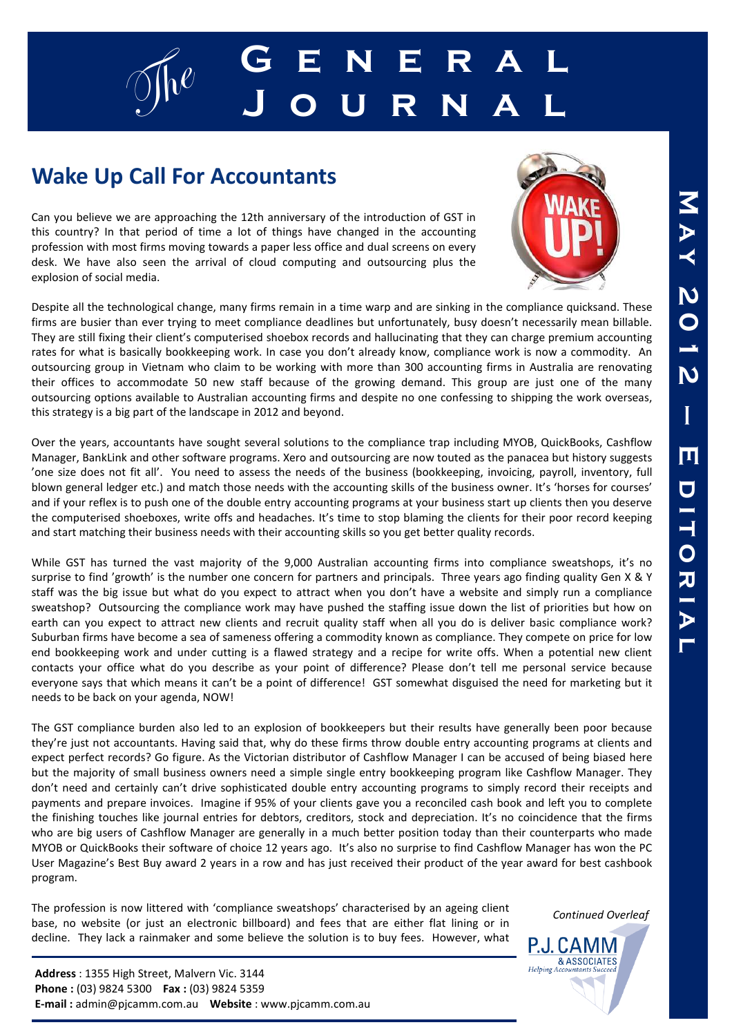# g $\int_{0}^{\infty}$  **G** E N E R A L **J o u r n a l**

## **Wake Up Call For Accountants**

Can you believe we are approaching the 12th anniversary of the introduction of GST in this country? In that period of time a lot of things have changed in the accounting profession with most firms moving towards a paper less office and dual screens on every desk. We have also seen the arrival of cloud computing and outsourcing plus the explosion of social media.

Despite all the technological change, many firms remain in a time warp and are sinking in the compliance quicksand. These firms are busier than ever trying to meet compliance deadlines but unfortunately, busy doesn't necessarily mean billable. They are still fixing their client's computerised shoebox records and hallucinating that they can charge premium accounting rates for what is basically bookkeeping work. In case you don't already know, compliance work is now a commodity. An outsourcing group in Vietnam who claim to be working with more than 300 accounting firms in Australia are renovating their offices to accommodate 50 new staff because of the growing demand. This group are just one of the many outsourcing options available to Australian accounting firms and despite no one confessing to shipping the work overseas, this strategy is a big part of the landscape in 2012 and beyond.

Over the years, accountants have sought several solutions to the compliance trap including MYOB, QuickBooks, Cashflow Manager, BankLink and other software programs. Xero and outsourcing are now touted as the panacea but history suggests 'one size does not fit all'. You need to assess the needs of the business (bookkeeping, invoicing, payroll, inventory, full blown general ledger etc.) and match those needs with the accounting skills of the business owner. It's 'horses for courses' and if your reflex is to push one of the double entry accounting programs at your business start up clients then you deserve the computerised shoeboxes, write offs and headaches. It's time to stop blaming the clients for their poor record keeping and start matching their business needs with their accounting skills so you get better quality records.

While GST has turned the vast majority of the 9,000 Australian accounting firms into compliance sweatshops, it's no surprise to find 'growth' is the number one concern for partners and principals. Three years ago finding quality Gen X & Y staff was the big issue but what do you expect to attract when you don't have a website and simply run a compliance sweatshop? Outsourcing the compliance work may have pushed the staffing issue down the list of priorities but how on earth can you expect to attract new clients and recruit quality staff when all you do is deliver basic compliance work? Suburban firms have become a sea of sameness offering a commodity known as compliance. They compete on price for low end bookkeeping work and under cutting is a flawed strategy and a recipe for write offs. When a potential new client contacts your office what do you describe as your point of difference? Please don't tell me personal service because everyone says that which means it can't be a point of difference! GST somewhat disguised the need for marketing but it needs to be back on your agenda, NOW!

The GST compliance burden also led to an explosion of bookkeepers but their results have generally been poor because they're just not accountants. Having said that, why do these firms throw double entry accounting programs at clients and expect perfect records? Go figure. As the Victorian distributor of Cashflow Manager I can be accused of being biased here but the majority of small business owners need a simple single entry bookkeeping program like Cashflow Manager. They don't need and certainly can't drive sophisticated double entry accounting programs to simply record their receipts and payments and prepare invoices. Imagine if 95% of your clients gave you a reconciled cash book and left you to complete the finishing touches like journal entries for debtors, creditors, stock and depreciation. It's no coincidence that the firms who are big users of Cashflow Manager are generally in a much better position today than their counterparts who made MYOB or QuickBooks their software of choice 12 years ago. It's also no surprise to find Cashflow Manager has won the PC User Magazine's Best Buy award 2 years in a row and has just received their product of the year award for best cashbook program.

The profession is now littered with 'compliance sweatshops' characterised by an ageing client base, no website (or just an electronic billboard) and fees that are either flat lining or in decline. They lack a rainmaker and some believe the solution is to buy fees. However, what

*Continued Overleaf* 

**Address** : 1355 High Street, Malvern Vic. 3144 **Phone :** (03) 9824 5300 **Fax :** (03) 9824 5359 **E-mail :** admin@pjcamm.com.au **Website** : www.pjcamm.com.au





P.J. CAMM **& ASSOCIATES** 

 $Helpin<sub>σ</sub>$  A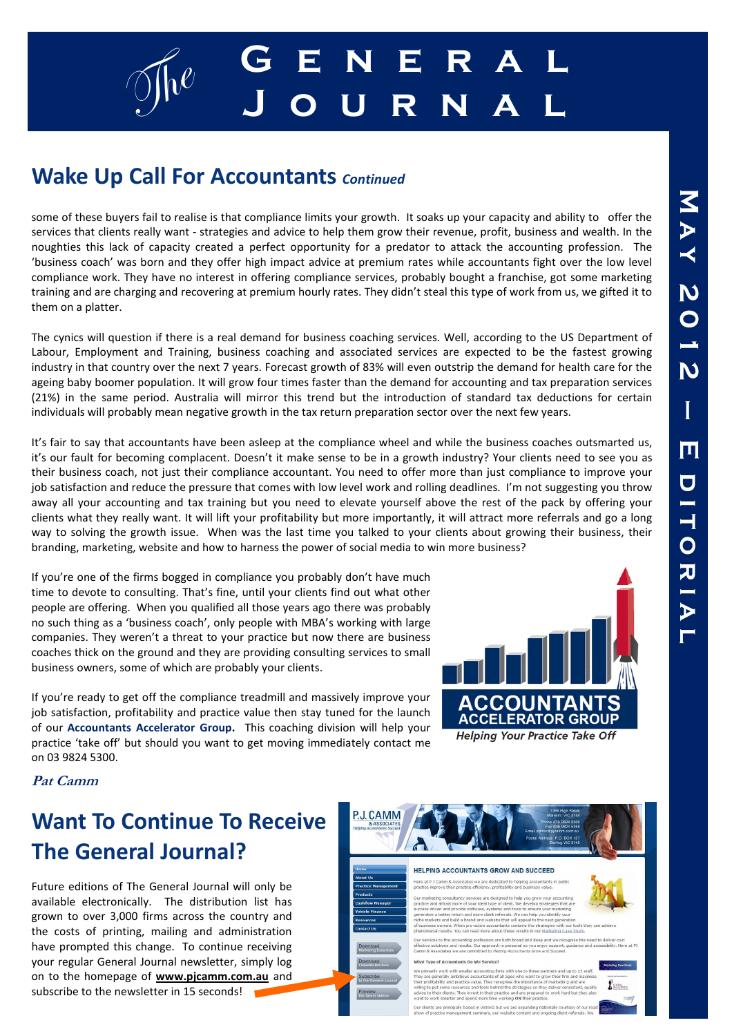

### **Wake Up Call For Accountants** *Continued*

some of these buyers fail to realise is that compliance limits your growth. It soaks up your capacity and ability to offer the services that clients really want - strategies and advice to help them grow their revenue, profit, business and wealth. In the noughties this lack of capacity created a perfect opportunity for a predator to attack the accounting profession. The 'business coach' was born and they offer high impact advice at premium rates while accountants fight over the low level compliance work. They have no interest in offering compliance services, probably bought a franchise, got some marketing training and are charging and recovering at premium hourly rates. They didn't steal this type of work from us, we gifted it to them on a platter.

The cynics will question if there is a real demand for business coaching services. Well, according to the US Department of Labour, Employment and Training, business coaching and associated services are expected to be the fastest growing industry in that country over the next 7 years. Forecast growth of 83% will even outstrip the demand for health care for the ageing baby boomer population. It will grow four times faster than the demand for accounting and tax preparation services (21%) in the same period. Australia will mirror this trend but the introduction of standard tax deductions for certain individuals will probably mean negative growth in the tax return preparation sector over the next few years.

It's fair to say that accountants have been asleep at the compliance wheel and while the business coaches outsmarted us, it's our fault for becoming complacent. Doesn't it make sense to be in a growth industry? Your clients need to see you as their business coach, not just their compliance accountant. You need to offer more than just compliance to improve your job satisfaction and reduce the pressure that comes with low level work and rolling deadlines. I'm not suggesting you throw away all your accounting and tax training but you need to elevate yourself above the rest of the pack by offering your clients what they really want. It will lift your profitability but more importantly, it will attract more referrals and go a long way to solving the growth issue. When was the last time you talked to your clients about growing their business, their branding, marketing, website and how to harness the power of social media to win more business?

If you're one of the firms bogged in compliance you probably don't have much time to devote to consulting. That's fine, until your clients find out what other people are offering. When you qualified all those years ago there was probably no such thing as a 'business coach', only people with MBA's working with large companies. They weren't a threat to your practice but now there are business coaches thick on the ground and they are providing consulting services to small business owners, some of which are probably your clients.

If you're ready to get off the compliance treadmill and massively improve your job satisfaction, profitability and practice value then stay tuned for the launch of our **Accountants Accelerator Group.** This coaching division will help your practice 'take off' but should you want to get moving immediately contact me on 03 9824 5300.



#### **Pat Camm**

## **Want To Continue To Receive The General Journal?**

Future editions of The General Journal will only be available electronically. The distribution list has grown to over 3,000 firms across the country and the costs of printing, mailing and administration have prompted this change. To continue receiving your regular General Journal newsletter, simply log on to the homepage of **www.pjcamm.com.au** and subscribe to the newsletter in 15 seconds!

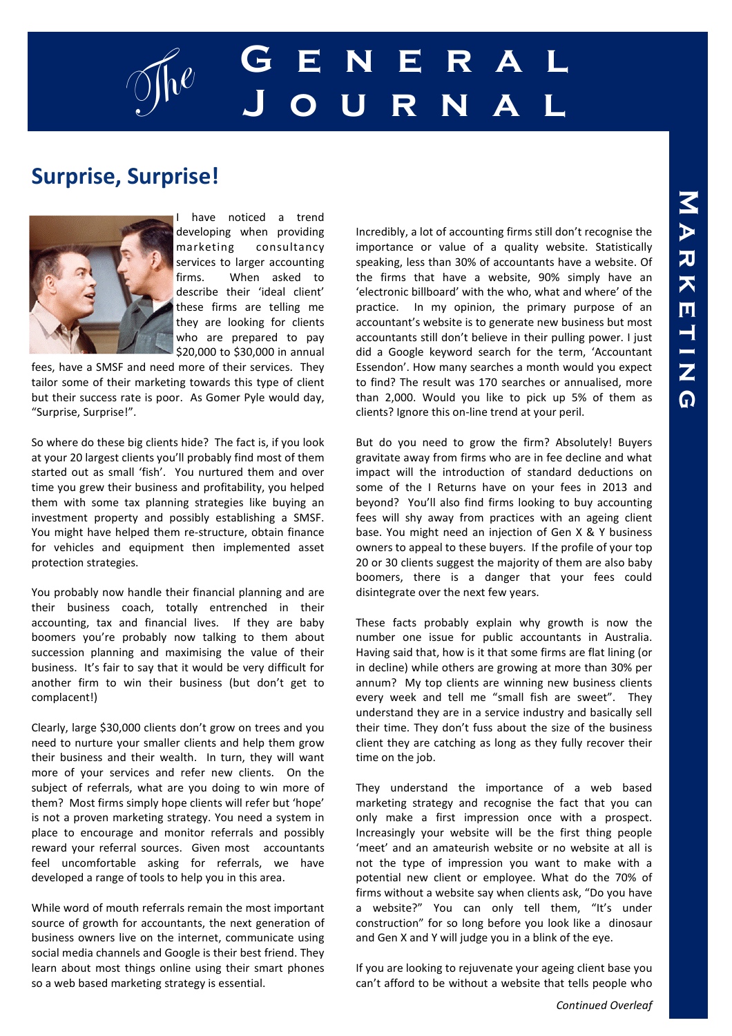

### **Surprise, Surprise!**



have noticed a trend developing when providing marketing consultancy services to larger accounting firms. When asked to describe their 'ideal client' these firms are telling me they are looking for clients who are prepared to pay \$20,000 to \$30,000 in annual

fees, have a SMSF and need more of their services. They tailor some of their marketing towards this type of client but their success rate is poor. As Gomer Pyle would day, "Surprise, Surprise!".

So where do these big clients hide? The fact is, if you look at your 20 largest clients you'll probably find most of them started out as small 'fish'. You nurtured them and over time you grew their business and profitability, you helped them with some tax planning strategies like buying an investment property and possibly establishing a SMSF. You might have helped them re-structure, obtain finance for vehicles and equipment then implemented asset protection strategies.

You probably now handle their financial planning and are their business coach, totally entrenched in their accounting, tax and financial lives. If they are baby boomers you're probably now talking to them about succession planning and maximising the value of their business. It's fair to say that it would be very difficult for another firm to win their business (but don't get to complacent!)

Clearly, large \$30,000 clients don't grow on trees and you need to nurture your smaller clients and help them grow their business and their wealth. In turn, they will want more of your services and refer new clients. On the subject of referrals, what are you doing to win more of them? Most firms simply hope clients will refer but 'hope' is not a proven marketing strategy. You need a system in place to encourage and monitor referrals and possibly reward your referral sources. Given most accountants feel uncomfortable asking for referrals, we have developed a range of tools to help you in this area.

While word of mouth referrals remain the most important source of growth for accountants, the next generation of business owners live on the internet, communicate using social media channels and Google is their best friend. They learn about most things online using their smart phones so a web based marketing strategy is essential.

Incredibly, a lot of accounting firms still don't recognise the importance or value of a quality website. Statistically speaking, less than 30% of accountants have a website. Of the firms that have a website, 90% simply have an 'electronic billboard' with the who, what and where' of the practice. In my opinion, the primary purpose of an accountant's website is to generate new business but most accountants still don't believe in their pulling power. I just did a Google keyword search for the term, 'Accountant Essendon'. How many searches a month would you expect to find? The result was 170 searches or annualised, more than 2,000. Would you like to pick up 5% of them as clients? Ignore this on-line trend at your peril.

But do you need to grow the firm? Absolutely! Buyers gravitate away from firms who are in fee decline and what impact will the introduction of standard deductions on some of the I Returns have on your fees in 2013 and beyond? You'll also find firms looking to buy accounting fees will shy away from practices with an ageing client base. You might need an injection of Gen X & Y business owners to appeal to these buyers. If the profile of your top 20 or 30 clients suggest the majority of them are also baby boomers, there is a danger that your fees could disintegrate over the next few years.

These facts probably explain why growth is now the number one issue for public accountants in Australia. Having said that, how is it that some firms are flat lining (or in decline) while others are growing at more than 30% per annum? My top clients are winning new business clients every week and tell me "small fish are sweet". They understand they are in a service industry and basically sell their time. They don't fuss about the size of the business client they are catching as long as they fully recover their time on the job.

They understand the importance of a web based marketing strategy and recognise the fact that you can only make a first impression once with a prospect. Increasingly your website will be the first thing people 'meet' and an amateurish website or no website at all is not the type of impression you want to make with a potential new client or employee. What do the 70% of firms without a website say when clients ask, "Do you have a website?" You can only tell them, "It's under construction" for so long before you look like a dinosaur and Gen X and Y will judge you in a blink of the eye.

If you are looking to rejuvenate your ageing client base you can't afford to be without a website that tells people who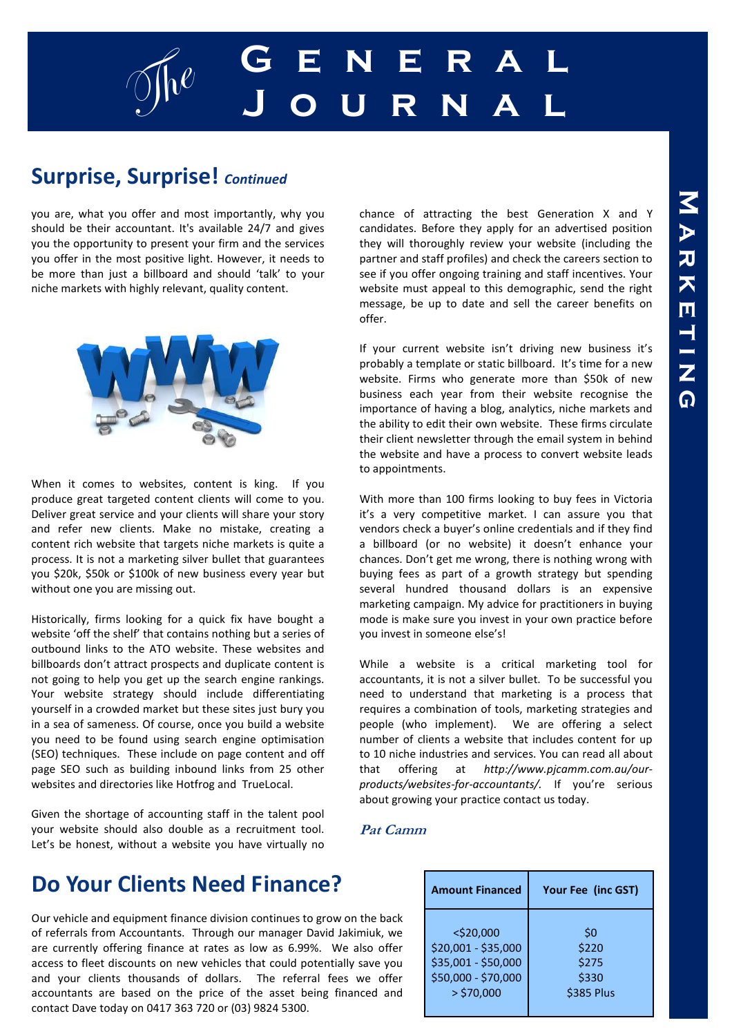

#### **Surprise, Surprise!** *Continued*

you are, what you offer and most importantly, why you should be their accountant. It's available 24/7 and gives you the opportunity to present your firm and the services you offer in the most positive light. However, it needs to be more than just a billboard and should 'talk' to your niche markets with highly relevant, quality content.



When it comes to websites, content is king. If you produce great targeted content clients will come to you. Deliver great service and your clients will share your story and refer new clients. Make no mistake, creating a content rich website that targets niche markets is quite a process. It is not a marketing silver bullet that guarantees you \$20k, \$50k or \$100k of new business every year but without one you are missing out.

Historically, firms looking for a quick fix have bought a website 'off the shelf' that contains nothing but a series of outbound links to the ATO website. These websites and billboards don't attract prospects and duplicate content is not going to help you get up the search engine rankings. Your website strategy should include differentiating yourself in a crowded market but these sites just bury you in a sea of sameness. Of course, once you build a website you need to be found using search engine optimisation (SEO) techniques. These include on page content and off page SEO such as building inbound links from 25 other websites and directories like Hotfrog and TrueLocal.

Given the shortage of accounting staff in the talent pool your website should also double as a recruitment tool. Let's be honest, without a website you have virtually no chance of attracting the best Generation X and Y candidates. Before they apply for an advertised position they will thoroughly review your website (including the partner and staff profiles) and check the careers section to see if you offer ongoing training and staff incentives. Your website must appeal to this demographic, send the right message, be up to date and sell the career benefits on offer.

If your current website isn't driving new business it's probably a template or static billboard. It's time for a new website. Firms who generate more than \$50k of new business each year from their website recognise the importance of having a blog, analytics, niche markets and the ability to edit their own website. These firms circulate their client newsletter through the email system in behind the website and have a process to convert website leads to appointments.

With more than 100 firms looking to buy fees in Victoria it's a very competitive market. I can assure you that vendors check a buyer's online credentials and if they find a billboard (or no website) it doesn't enhance your chances. Don't get me wrong, there is nothing wrong with buying fees as part of a growth strategy but spending several hundred thousand dollars is an expensive marketing campaign. My advice for practitioners in buying mode is make sure you invest in your own practice before you invest in someone else's!

While a website is a critical marketing tool for accountants, it is not a silver bullet. To be successful you need to understand that marketing is a process that requires a combination of tools, marketing strategies and people (who implement). We are offering a select number of clients a website that includes content for up to 10 niche industries and services. You can read all about that offering at *http://www.pjcamm.com.au/ourproducts/websites-for-accountants/.* If you're serious about growing your practice contact us today.

#### **Pat Camm**

### **Do Your Clients Need Finance?**

Our vehicle and equipment finance division continues to grow on the back of referrals from Accountants. Through our manager David Jakimiuk, we are currently offering finance at rates as low as 6.99%. We also offer access to fleet discounts on new vehicles that could potentially save you and your clients thousands of dollars. The referral fees we offer accountants are based on the price of the asset being financed and contact Dave today on 0417 363 720 or (03) 9824 5300.

| <b>Amount Financed</b> | Your Fee (inc GST) |
|------------------------|--------------------|
| $<$ \$20,000           | \$0                |
| \$20,001 - \$35,000    | \$220              |
| \$35,001 - \$50,000    | \$275              |
| \$50,000 - \$70,000    | \$330              |
| $>$ \$70,000           | <b>\$385 Plus</b>  |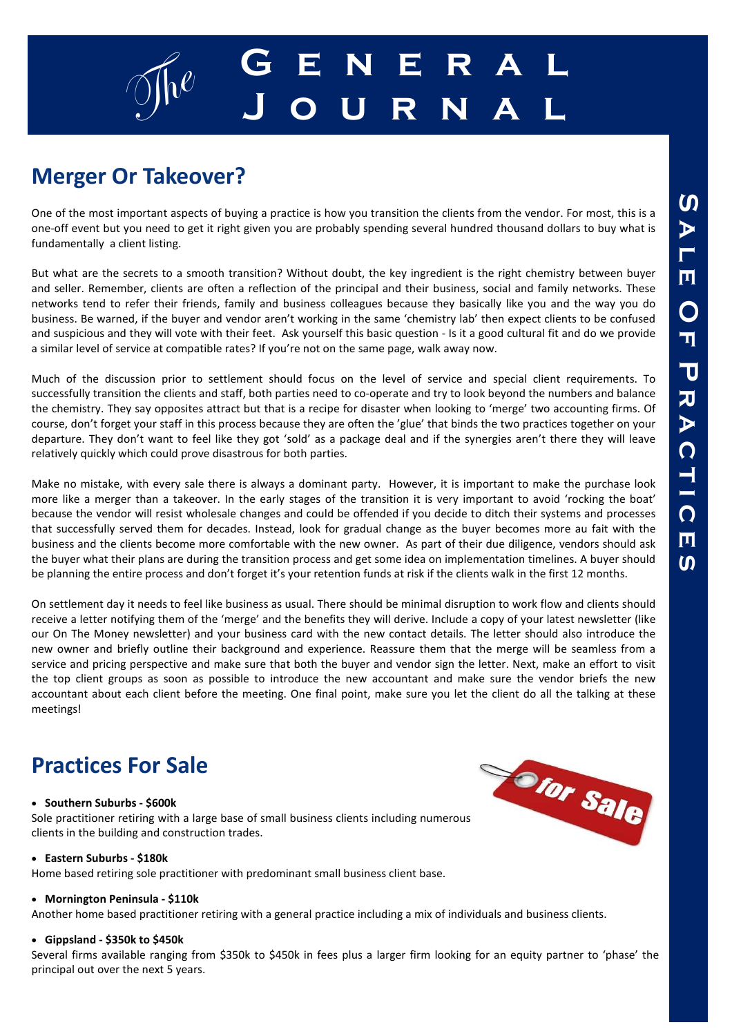# g $\int_{0}^{\infty}$  **G** E N E R A L **J o u r n a l**

## **Merger Or Takeover?**

One of the most important aspects of buying a practice is how you transition the clients from the vendor. For most, this is a one-off event but you need to get it right given you are probably spending several hundred thousand dollars to buy what is fundamentally a client listing.

But what are the secrets to a smooth transition? Without doubt, the key ingredient is the right chemistry between buyer and seller. Remember, clients are often a reflection of the principal and their business, social and family networks. These networks tend to refer their friends, family and business colleagues because they basically like you and the way you do business. Be warned, if the buyer and vendor aren't working in the same 'chemistry lab' then expect clients to be confused and suspicious and they will vote with their feet. Ask yourself this basic question - Is it a good cultural fit and do we provide a similar level of service at compatible rates? If you're not on the same page, walk away now.

Much of the discussion prior to settlement should focus on the level of service and special client requirements. To successfully transition the clients and staff, both parties need to co-operate and try to look beyond the numbers and balance the chemistry. They say opposites attract but that is a recipe for disaster when looking to 'merge' two accounting firms. Of course, don't forget your staff in this process because they are often the 'glue' that binds the two practices together on your departure. They don't want to feel like they got 'sold' as a package deal and if the synergies aren't there they will leave relatively quickly which could prove disastrous for both parties.

Make no mistake, with every sale there is always a dominant party. However, it is important to make the purchase look more like a merger than a takeover. In the early stages of the transition it is very important to avoid 'rocking the boat' because the vendor will resist wholesale changes and could be offended if you decide to ditch their systems and processes that successfully served them for decades. Instead, look for gradual change as the buyer becomes more au fait with the business and the clients become more comfortable with the new owner. As part of their due diligence, vendors should ask the buyer what their plans are during the transition process and get some idea on implementation timelines. A buyer should be planning the entire process and don't forget it's your retention funds at risk if the clients walk in the first 12 months.

On settlement day it needs to feel like business as usual. There should be minimal disruption to work flow and clients should receive a letter notifying them of the 'merge' and the benefits they will derive. Include a copy of your latest newsletter (like our On The Money newsletter) and your business card with the new contact details. The letter should also introduce the new owner and briefly outline their background and experience. Reassure them that the merge will be seamless from a service and pricing perspective and make sure that both the buyer and vendor sign the letter. Next, make an effort to visit the top client groups as soon as possible to introduce the new accountant and make sure the vendor briefs the new accountant about each client before the meeting. One final point, make sure you let the client do all the talking at these meetings!

### **Practices For Sale**

#### • **Southern Suburbs - \$600k**

Sole practitioner retiring with a large base of small business clients including numerous clients in the building and construction trades.

#### • **Eastern Suburbs - \$180k**

Home based retiring sole practitioner with predominant small business client base.

#### • **Mornington Peninsula - \$110k**

Another home based practitioner retiring with a general practice including a mix of individuals and business clients.

#### • **Gippsland - \$350k to \$450k**

Several firms available ranging from \$350k to \$450k in fees plus a larger firm looking for an equity partner to 'phase' the principal out over the next 5 years.